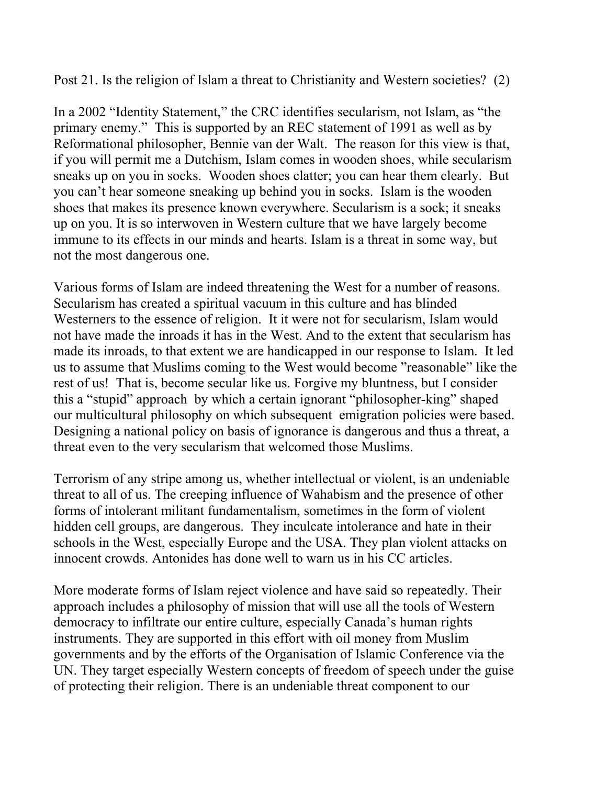Post 21. Is the religion of Islam a threat to Christianity and Western societies? (2)

In a 2002 "Identity Statement," the CRC identifies secularism, not Islam, as "the primary enemy." This is supported by an REC statement of 1991 as well as by Reformational philosopher, Bennie van der Walt. The reason for this view is that, if you will permit me a Dutchism, Islam comes in wooden shoes, while secularism sneaks up on you in socks. Wooden shoes clatter; you can hear them clearly. But you can't hear someone sneaking up behind you in socks. Islam is the wooden shoes that makes its presence known everywhere. Secularism is a sock; it sneaks up on you. It is so interwoven in Western culture that we have largely become immune to its effects in our minds and hearts. Islam is a threat in some way, but not the most dangerous one.

Various forms of Islam are indeed threatening the West for a number of reasons. Secularism has created a spiritual vacuum in this culture and has blinded Westerners to the essence of religion. It it were not for secularism, Islam would not have made the inroads it has in the West. And to the extent that secularism has made its inroads, to that extent we are handicapped in our response to Islam. It led us to assume that Muslims coming to the West would become "reasonable" like the rest of us! That is, become secular like us. Forgive my bluntness, but I consider this a "stupid" approach by which a certain ignorant "philosopher-king" shaped our multicultural philosophy on which subsequent emigration policies were based. Designing a national policy on basis of ignorance is dangerous and thus a threat, a threat even to the very secularism that welcomed those Muslims.

Terrorism of any stripe among us, whether intellectual or violent, is an undeniable threat to all of us. The creeping influence of Wahabism and the presence of other forms of intolerant militant fundamentalism, sometimes in the form of violent hidden cell groups, are dangerous. They inculcate intolerance and hate in their schools in the West, especially Europe and the USA. They plan violent attacks on innocent crowds. Antonides has done well to warn us in his CC articles.

More moderate forms of Islam reject violence and have said so repeatedly. Their approach includes a philosophy of mission that will use all the tools of Western democracy to infiltrate our entire culture, especially Canada's human rights instruments. They are supported in this effort with oil money from Muslim governments and by the efforts of the Organisation of Islamic Conference via the UN. They target especially Western concepts of freedom of speech under the guise of protecting their religion. There is an undeniable threat component to our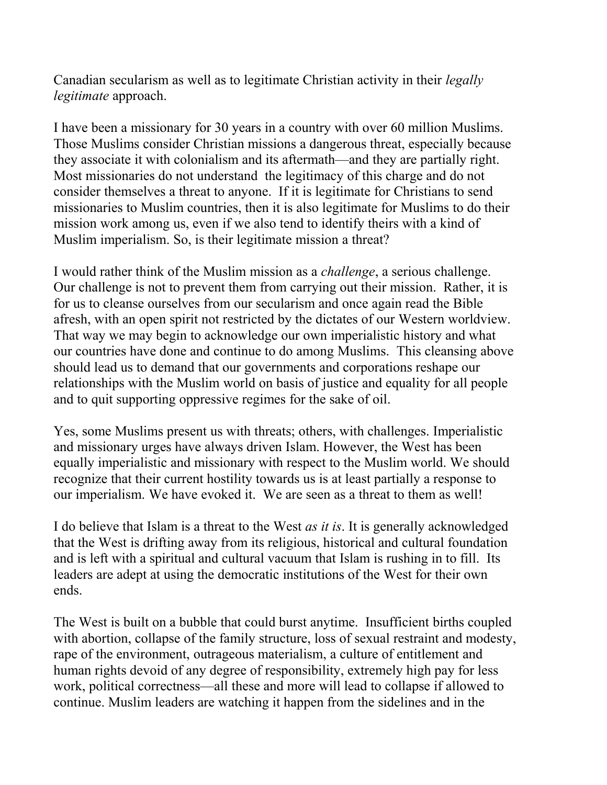Canadian secularism as well as to legitimate Christian activity in their *legally legitimate* approach.

I have been a missionary for 30 years in a country with over 60 million Muslims. Those Muslims consider Christian missions a dangerous threat, especially because they associate it with colonialism and its aftermath—and they are partially right. Most missionaries do not understand the legitimacy of this charge and do not consider themselves a threat to anyone. If it is legitimate for Christians to send missionaries to Muslim countries, then it is also legitimate for Muslims to do their mission work among us, even if we also tend to identify theirs with a kind of Muslim imperialism. So, is their legitimate mission a threat?

I would rather think of the Muslim mission as a *challenge*, a serious challenge. Our challenge is not to prevent them from carrying out their mission. Rather, it is for us to cleanse ourselves from our secularism and once again read the Bible afresh, with an open spirit not restricted by the dictates of our Western worldview. That way we may begin to acknowledge our own imperialistic history and what our countries have done and continue to do among Muslims. This cleansing above should lead us to demand that our governments and corporations reshape our relationships with the Muslim world on basis of justice and equality for all people and to quit supporting oppressive regimes for the sake of oil.

Yes, some Muslims present us with threats; others, with challenges. Imperialistic and missionary urges have always driven Islam. However, the West has been equally imperialistic and missionary with respect to the Muslim world. We should recognize that their current hostility towards us is at least partially a response to our imperialism. We have evoked it. We are seen as a threat to them as well!

I do believe that Islam is a threat to the West *as it is*. It is generally acknowledged that the West is drifting away from its religious, historical and cultural foundation and is left with a spiritual and cultural vacuum that Islam is rushing in to fill. Its leaders are adept at using the democratic institutions of the West for their own ends.

The West is built on a bubble that could burst anytime. Insufficient births coupled with abortion, collapse of the family structure, loss of sexual restraint and modesty, rape of the environment, outrageous materialism, a culture of entitlement and human rights devoid of any degree of responsibility, extremely high pay for less work, political correctness—all these and more will lead to collapse if allowed to continue. Muslim leaders are watching it happen from the sidelines and in the